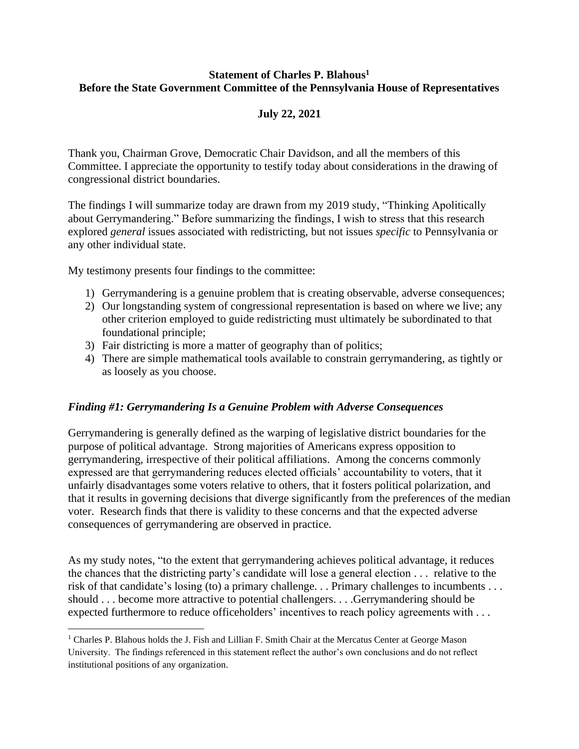## **Statement of Charles P. Blahous<sup>1</sup> Before the State Government Committee of the Pennsylvania House of Representatives**

# **July 22, 2021**

Thank you, Chairman Grove, Democratic Chair Davidson, and all the members of this Committee. I appreciate the opportunity to testify today about considerations in the drawing of congressional district boundaries.

The findings I will summarize today are drawn from my 2019 study, "Thinking Apolitically about Gerrymandering." Before summarizing the findings, I wish to stress that this research explored *general* issues associated with redistricting, but not issues *specific* to Pennsylvania or any other individual state.

My testimony presents four findings to the committee:

- 1) Gerrymandering is a genuine problem that is creating observable, adverse consequences;
- 2) Our longstanding system of congressional representation is based on where we live; any other criterion employed to guide redistricting must ultimately be subordinated to that foundational principle;
- 3) Fair districting is more a matter of geography than of politics;
- 4) There are simple mathematical tools available to constrain gerrymandering, as tightly or as loosely as you choose.

# *Finding #1: Gerrymandering Is a Genuine Problem with Adverse Consequences*

Gerrymandering is generally defined as the warping of legislative district boundaries for the purpose of political advantage. Strong majorities of Americans express opposition to gerrymandering, irrespective of their political affiliations. Among the concerns commonly expressed are that gerrymandering reduces elected officials' accountability to voters, that it unfairly disadvantages some voters relative to others, that it fosters political polarization, and that it results in governing decisions that diverge significantly from the preferences of the median voter. Research finds that there is validity to these concerns and that the expected adverse consequences of gerrymandering are observed in practice.

As my study notes, "to the extent that gerrymandering achieves political advantage, it reduces the chances that the districting party's candidate will lose a general election . . . relative to the risk of that candidate's losing (to) a primary challenge. . . Primary challenges to incumbents . . . should . . . become more attractive to potential challengers. . . .Gerrymandering should be expected furthermore to reduce officeholders' incentives to reach policy agreements with . . .

<sup>&</sup>lt;sup>1</sup> Charles P. Blahous holds the J. Fish and Lillian F. Smith Chair at the Mercatus Center at George Mason University. The findings referenced in this statement reflect the author's own conclusions and do not reflect institutional positions of any organization.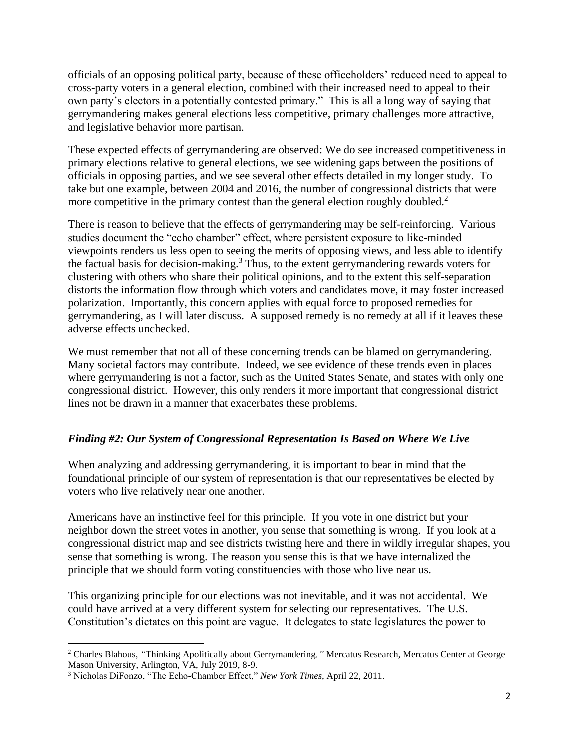officials of an opposing political party, because of these officeholders' reduced need to appeal to cross-party voters in a general election, combined with their increased need to appeal to their own party's electors in a potentially contested primary." This is all a long way of saying that gerrymandering makes general elections less competitive, primary challenges more attractive, and legislative behavior more partisan.

These expected effects of gerrymandering are observed: We do see increased competitiveness in primary elections relative to general elections, we see widening gaps between the positions of officials in opposing parties, and we see several other effects detailed in my longer study. To take but one example, between 2004 and 2016, the number of congressional districts that were more competitive in the primary contest than the general election roughly doubled.<sup>2</sup>

There is reason to believe that the effects of gerrymandering may be self-reinforcing. Various studies document the "echo chamber" effect, where persistent exposure to like-minded viewpoints renders us less open to seeing the merits of opposing views, and less able to identify the factual basis for decision-making.<sup>3</sup> Thus, to the extent gerrymandering rewards voters for clustering with others who share their political opinions, and to the extent this self-separation distorts the information flow through which voters and candidates move, it may foster increased polarization. Importantly, this concern applies with equal force to proposed remedies for gerrymandering, as I will later discuss. A supposed remedy is no remedy at all if it leaves these adverse effects unchecked.

We must remember that not all of these concerning trends can be blamed on gerrymandering. Many societal factors may contribute. Indeed, we see evidence of these trends even in places where gerrymandering is not a factor, such as the United States Senate, and states with only one congressional district. However, this only renders it more important that congressional district lines not be drawn in a manner that exacerbates these problems.

# *Finding #2: Our System of Congressional Representation Is Based on Where We Live*

When analyzing and addressing gerrymandering, it is important to bear in mind that the foundational principle of our system of representation is that our representatives be elected by voters who live relatively near one another.

Americans have an instinctive feel for this principle. If you vote in one district but your neighbor down the street votes in another, you sense that something is wrong. If you look at a congressional district map and see districts twisting here and there in wildly irregular shapes, you sense that something is wrong. The reason you sense this is that we have internalized the principle that we should form voting constituencies with those who live near us.

This organizing principle for our elections was not inevitable, and it was not accidental. We could have arrived at a very different system for selecting our representatives. The U.S. Constitution's dictates on this point are vague. It delegates to state legislatures the power to

<sup>2</sup> Charles Blahous, *"*Thinking Apolitically about Gerrymandering*,"* Mercatus Research, Mercatus Center at George Mason University, Arlington, VA, July 2019, 8-9.

<sup>3</sup> Nicholas DiFonzo, "The Echo-Chamber Effect," *New York Times*, April 22, 2011.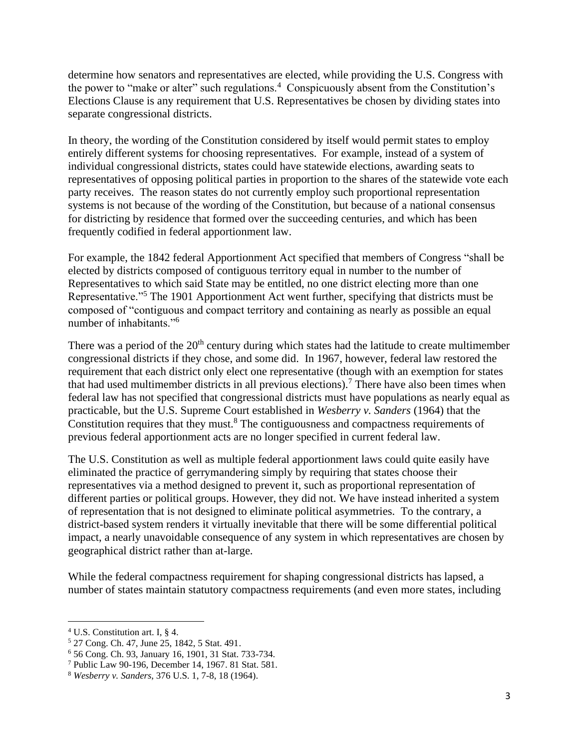determine how senators and representatives are elected, while providing the U.S. Congress with the power to "make or alter" such regulations.<sup>4</sup> Conspicuously absent from the Constitution's Elections Clause is any requirement that U.S. Representatives be chosen by dividing states into separate congressional districts.

In theory, the wording of the Constitution considered by itself would permit states to employ entirely different systems for choosing representatives. For example, instead of a system of individual congressional districts, states could have statewide elections, awarding seats to representatives of opposing political parties in proportion to the shares of the statewide vote each party receives. The reason states do not currently employ such proportional representation systems is not because of the wording of the Constitution, but because of a national consensus for districting by residence that formed over the succeeding centuries, and which has been frequently codified in federal apportionment law.

For example, the 1842 federal Apportionment Act specified that members of Congress "shall be elected by districts composed of contiguous territory equal in number to the number of Representatives to which said State may be entitled, no one district electing more than one Representative."<sup>5</sup> The 1901 Apportionment Act went further, specifying that districts must be composed of "contiguous and compact territory and containing as nearly as possible an equal number of inhabitants."<sup>6</sup>

There was a period of the  $20<sup>th</sup>$  century during which states had the latitude to create multimember congressional districts if they chose, and some did. In 1967, however, federal law restored the requirement that each district only elect one representative (though with an exemption for states that had used multimember districts in all previous elections).<sup>7</sup> There have also been times when federal law has not specified that congressional districts must have populations as nearly equal as practicable, but the U.S. Supreme Court established in *Wesberry v. Sanders* (1964) that the Constitution requires that they must.<sup>8</sup> The contiguousness and compactness requirements of previous federal apportionment acts are no longer specified in current federal law.

The U.S. Constitution as well as multiple federal apportionment laws could quite easily have eliminated the practice of gerrymandering simply by requiring that states choose their representatives via a method designed to prevent it, such as proportional representation of different parties or political groups. However, they did not. We have instead inherited a system of representation that is not designed to eliminate political asymmetries. To the contrary, a district-based system renders it virtually inevitable that there will be some differential political impact, a nearly unavoidable consequence of any system in which representatives are chosen by geographical district rather than at-large.

While the federal compactness requirement for shaping congressional districts has lapsed, a number of states maintain statutory compactness requirements (and even more states, including

<sup>4</sup> U.S. Constitution art. I, § 4.

<sup>5</sup> 27 Cong. Ch. 47, June 25, 1842, 5 Stat. 491.

<sup>6</sup> 56 Cong. Ch. 93, January 16, 1901, 31 Stat. 733-734.

<sup>7</sup> Public Law 90-196, December 14, 1967. 81 Stat. 581.

<sup>8</sup> *Wesberry v. Sanders*, 376 U.S. 1, 7-8, 18 (1964).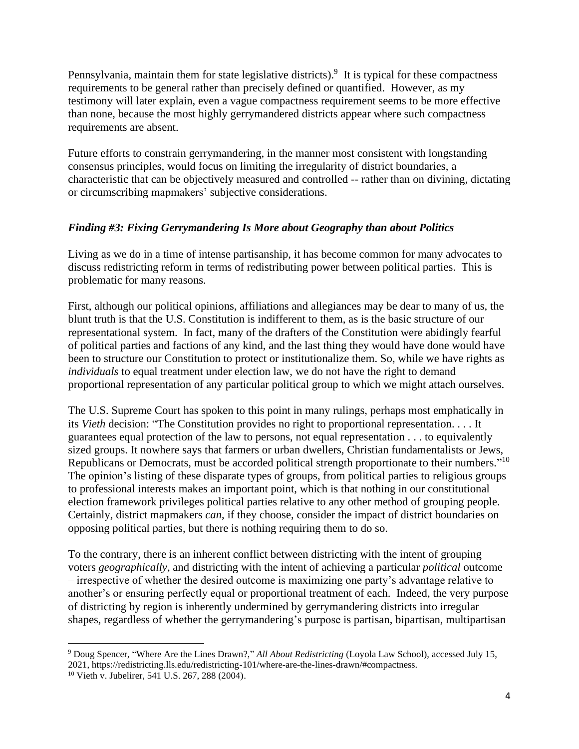Pennsylvania, maintain them for state legislative districts).<sup>9</sup> It is typical for these compactness requirements to be general rather than precisely defined or quantified. However, as my testimony will later explain, even a vague compactness requirement seems to be more effective than none, because the most highly gerrymandered districts appear where such compactness requirements are absent.

Future efforts to constrain gerrymandering, in the manner most consistent with longstanding consensus principles, would focus on limiting the irregularity of district boundaries, a characteristic that can be objectively measured and controlled -- rather than on divining, dictating or circumscribing mapmakers' subjective considerations.

# *Finding #3: Fixing Gerrymandering Is More about Geography than about Politics*

Living as we do in a time of intense partisanship, it has become common for many advocates to discuss redistricting reform in terms of redistributing power between political parties. This is problematic for many reasons.

First, although our political opinions, affiliations and allegiances may be dear to many of us, the blunt truth is that the U.S. Constitution is indifferent to them, as is the basic structure of our representational system. In fact, many of the drafters of the Constitution were abidingly fearful of political parties and factions of any kind, and the last thing they would have done would have been to structure our Constitution to protect or institutionalize them. So, while we have rights as *individuals* to equal treatment under election law, we do not have the right to demand proportional representation of any particular political group to which we might attach ourselves.

The U.S. Supreme Court has spoken to this point in many rulings, perhaps most emphatically in its *Vieth* decision: "The Constitution provides no right to proportional representation. . . . It guarantees equal protection of the law to persons, not equal representation . . . to equivalently sized groups. It nowhere says that farmers or urban dwellers, Christian fundamentalists or Jews, Republicans or Democrats, must be accorded political strength proportionate to their numbers."<sup>10</sup> The opinion's listing of these disparate types of groups, from political parties to religious groups to professional interests makes an important point, which is that nothing in our constitutional election framework privileges political parties relative to any other method of grouping people. Certainly, district mapmakers *can*, if they choose, consider the impact of district boundaries on opposing political parties, but there is nothing requiring them to do so.

To the contrary, there is an inherent conflict between districting with the intent of grouping voters *geographically*, and districting with the intent of achieving a particular *political* outcome – irrespective of whether the desired outcome is maximizing one party's advantage relative to another's or ensuring perfectly equal or proportional treatment of each. Indeed, the very purpose of districting by region is inherently undermined by gerrymandering districts into irregular shapes, regardless of whether the gerrymandering's purpose is partisan, bipartisan, multipartisan

<sup>9</sup> Doug Spencer, "Where Are the Lines Drawn?," *All About Redistricting* (Loyola Law School), accessed July 15, 2021, https://redistricting.lls.edu/redistricting-101/where-are-the-lines-drawn/#compactness.

<sup>10</sup> Vieth v. Jubelirer, 541 U.S. 267, 288 (2004).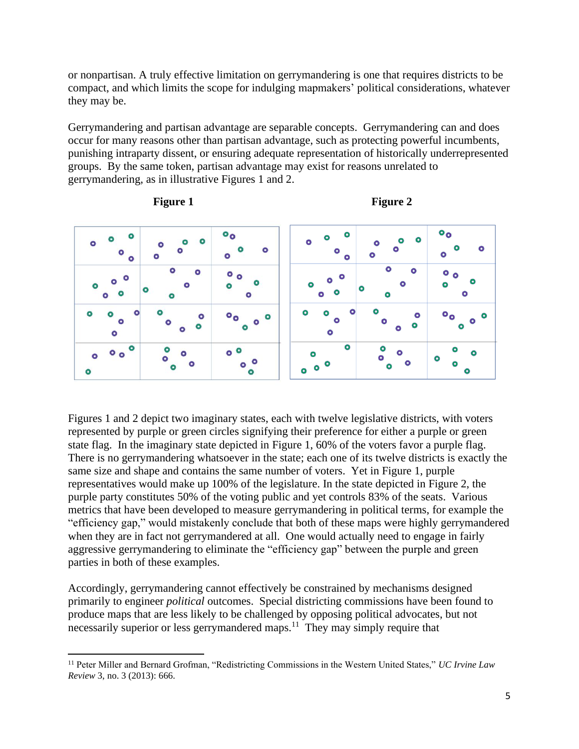or nonpartisan. A truly effective limitation on gerrymandering is one that requires districts to be compact, and which limits the scope for indulging mapmakers' political considerations, whatever they may be.

Gerrymandering and partisan advantage are separable concepts. Gerrymandering can and does occur for many reasons other than partisan advantage, such as protecting powerful incumbents, punishing intraparty dissent, or ensuring adequate representation of historically underrepresented groups. By the same token, partisan advantage may exist for reasons unrelated to gerrymandering, as in illustrative Figures 1 and 2.



**Figure 1** Figure 2



Figures 1 and 2 depict two imaginary states, each with twelve legislative districts, with voters represented by purple or green circles signifying their preference for either a purple or green state flag. In the imaginary state depicted in Figure 1, 60% of the voters favor a purple flag. There is no gerrymandering whatsoever in the state; each one of its twelve districts is exactly the same size and shape and contains the same number of voters. Yet in Figure 1, purple representatives would make up 100% of the legislature. In the state depicted in Figure 2, the purple party constitutes 50% of the voting public and yet controls 83% of the seats. Various metrics that have been developed to measure gerrymandering in political terms, for example the "efficiency gap," would mistakenly conclude that both of these maps were highly gerrymandered when they are in fact not gerrymandered at all. One would actually need to engage in fairly aggressive gerrymandering to eliminate the "efficiency gap" between the purple and green parties in both of these examples.

Accordingly, gerrymandering cannot effectively be constrained by mechanisms designed primarily to engineer *political* outcomes. Special districting commissions have been found to produce maps that are less likely to be challenged by opposing political advocates, but not necessarily superior or less gerrymandered maps.<sup>11</sup> They may simply require that

<sup>11</sup> Peter Miller and Bernard Grofman, "Redistricting Commissions in the Western United States," *UC Irvine Law Review* 3, no. 3 (2013): 666.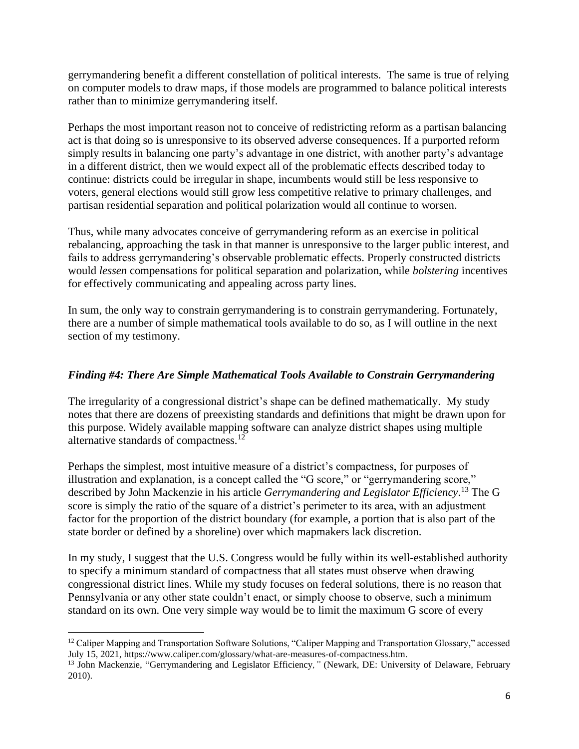gerrymandering benefit a different constellation of political interests. The same is true of relying on computer models to draw maps, if those models are programmed to balance political interests rather than to minimize gerrymandering itself.

Perhaps the most important reason not to conceive of redistricting reform as a partisan balancing act is that doing so is unresponsive to its observed adverse consequences. If a purported reform simply results in balancing one party's advantage in one district, with another party's advantage in a different district, then we would expect all of the problematic effects described today to continue: districts could be irregular in shape, incumbents would still be less responsive to voters, general elections would still grow less competitive relative to primary challenges, and partisan residential separation and political polarization would all continue to worsen.

Thus, while many advocates conceive of gerrymandering reform as an exercise in political rebalancing, approaching the task in that manner is unresponsive to the larger public interest, and fails to address gerrymandering's observable problematic effects. Properly constructed districts would *lessen* compensations for political separation and polarization, while *bolstering* incentives for effectively communicating and appealing across party lines.

In sum, the only way to constrain gerrymandering is to constrain gerrymandering. Fortunately, there are a number of simple mathematical tools available to do so, as I will outline in the next section of my testimony.

# *Finding #4: There Are Simple Mathematical Tools Available to Constrain Gerrymandering*

The irregularity of a congressional district's shape can be defined mathematically. My study notes that there are dozens of preexisting standards and definitions that might be drawn upon for this purpose. Widely available mapping software can analyze district shapes using multiple alternative standards of compactness.<sup>12</sup>

Perhaps the simplest, most intuitive measure of a district's compactness, for purposes of illustration and explanation, is a concept called the "G score," or "gerrymandering score," described by John Mackenzie in his article *Gerrymandering and Legislator Efficiency*. <sup>13</sup> The G score is simply the ratio of the square of a district's perimeter to its area, with an adjustment factor for the proportion of the district boundary (for example, a portion that is also part of the state border or defined by a shoreline) over which mapmakers lack discretion.

In my study, I suggest that the U.S. Congress would be fully within its well-established authority to specify a minimum standard of compactness that all states must observe when drawing congressional district lines. While my study focuses on federal solutions, there is no reason that Pennsylvania or any other state couldn't enact, or simply choose to observe, such a minimum standard on its own. One very simple way would be to limit the maximum G score of every

 $12$  Caliper Mapping and Transportation Software Solutions, "Caliper Mapping and Transportation Glossary," accessed July 15, 2021, https://www.caliper.com/glossary/what-are-measures-of-compactness.htm.

<sup>13</sup> John Mackenzie, "Gerrymandering and Legislator Efficiency*,"* (Newark, DE: University of Delaware, February 2010).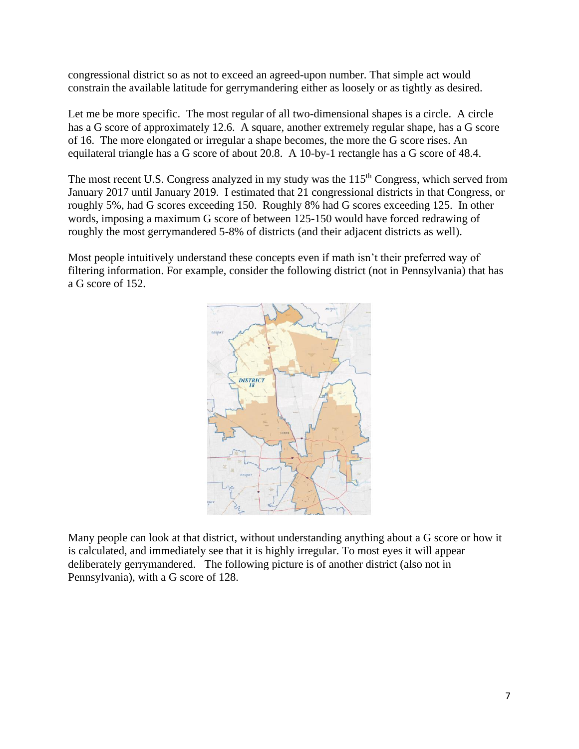congressional district so as not to exceed an agreed-upon number. That simple act would constrain the available latitude for gerrymandering either as loosely or as tightly as desired.

Let me be more specific. The most regular of all two-dimensional shapes is a circle. A circle has a G score of approximately 12.6. A square, another extremely regular shape, has a G score of 16. The more elongated or irregular a shape becomes, the more the G score rises. An equilateral triangle has a G score of about 20.8. A 10-by-1 rectangle has a G score of 48.4.

The most recent U.S. Congress analyzed in my study was the 115<sup>th</sup> Congress, which served from January 2017 until January 2019. I estimated that 21 congressional districts in that Congress, or roughly 5%, had G scores exceeding 150. Roughly 8% had G scores exceeding 125. In other words, imposing a maximum G score of between 125-150 would have forced redrawing of roughly the most gerrymandered 5-8% of districts (and their adjacent districts as well).

Most people intuitively understand these concepts even if math isn't their preferred way of filtering information. For example, consider the following district (not in Pennsylvania) that has a G score of 152.



Many people can look at that district, without understanding anything about a G score or how it is calculated, and immediately see that it is highly irregular. To most eyes it will appear deliberately gerrymandered. The following picture is of another district (also not in Pennsylvania), with a G score of 128.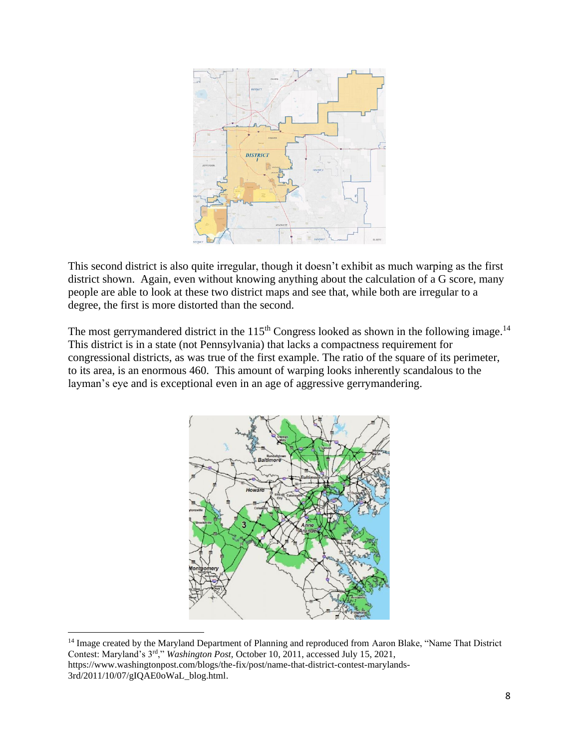

This second district is also quite irregular, though it doesn't exhibit as much warping as the first district shown. Again, even without knowing anything about the calculation of a G score, many people are able to look at these two district maps and see that, while both are irregular to a degree, the first is more distorted than the second.

The most gerrymandered district in the  $115<sup>th</sup>$  Congress looked as shown in the following image.<sup>14</sup> This district is in a state (not Pennsylvania) that lacks a compactness requirement for congressional districts, as was true of the first example. The ratio of the square of its perimeter, to its area, is an enormous 460. This amount of warping looks inherently scandalous to the layman's eye and is exceptional even in an age of aggressive gerrymandering.



<sup>&</sup>lt;sup>14</sup> Image created by the Maryland Department of Planning and reproduced from Aaron Blake, "Name That District Contest: Maryland's 3rd," *Washington Post,* October 10, 2011, accessed July 15, 2021, https://www.washingtonpost.com/blogs/the-fix/post/name-that-district-contest-marylands-3rd/2011/10/07/gIQAE0oWaL\_blog.html.